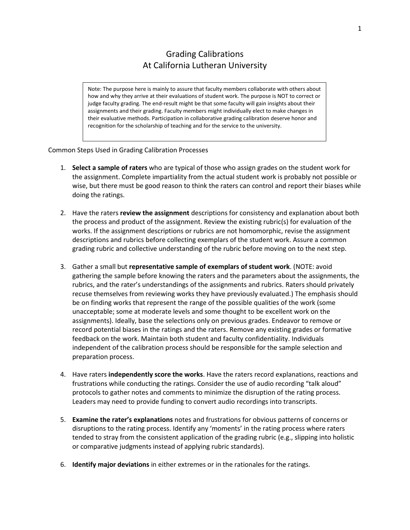## Grading Calibrations At California Lutheran University

Note: The purpose here is mainly to assure that faculty members collaborate with others about how and why they arrive at their evaluations of student work. The purpose is NOT to correct or judge faculty grading. The end-result might be that some faculty will gain insights about their assignments and their grading. Faculty members might individually elect to make changes in their evaluative methods. Participation in collaborative grading calibration deserve honor and recognition for the scholarship of teaching and for the service to the university.

## Common Steps Used in Grading Calibration Processes

- 1. **Select a sample of raters** who are typical of those who assign grades on the student work for the assignment. Complete impartiality from the actual student work is probably not possible or wise, but there must be good reason to think the raters can control and report their biases while doing the ratings.
- 2. Have the raters **review the assignment** descriptions for consistency and explanation about both the process and product of the assignment. Review the existing rubric(s) for evaluation of the works. If the assignment descriptions or rubrics are not homomorphic, revise the assignment descriptions and rubrics before collecting exemplars of the student work. Assure a common grading rubric and collective understanding of the rubric before moving on to the next step.
- 3. Gather a small but **representative sample of exemplars of student work**. (NOTE: avoid gathering the sample before knowing the raters and the parameters about the assignments, the rubrics, and the rater's understandings of the assignments and rubrics. Raters should privately recuse themselves from reviewing works they have previously evaluated.) The emphasis should be on finding works that represent the range of the possible qualities of the work (some unacceptable; some at moderate levels and some thought to be excellent work on the assignments). Ideally, base the selections only on previous grades. Endeavor to remove or record potential biases in the ratings and the raters. Remove any existing grades or formative feedback on the work. Maintain both student and faculty confidentiality. Individuals independent of the calibration process should be responsible for the sample selection and preparation process.
- 4. Have raters **independently score the works**. Have the raters record explanations, reactions and frustrations while conducting the ratings. Consider the use of audio recording "talk aloud" protocols to gather notes and comments to minimize the disruption of the rating process. Leaders may need to provide funding to convert audio recordings into transcripts.
- 5. **Examine the rater's explanations** notes and frustrations for obvious patterns of concerns or disruptions to the rating process. Identify any 'moments' in the rating process where raters tended to stray from the consistent application of the grading rubric (e.g., slipping into holistic or comparative judgments instead of applying rubric standards).
- 6. **Identify major deviations** in either extremes or in the rationales for the ratings.